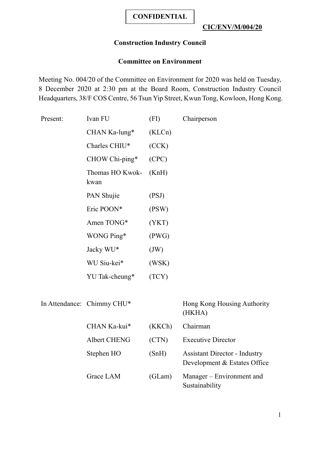# **Construction Industry Council**

### **Committee on Environment**

Meeting No. 004/20 of the Committee on Environment for 2020 was held on Tuesday, 8 December 2020 at 2:30 pm at the Board Room, Construction Industry Council Headquarters, 38/F COS Centre, 56 Tsun Yip Street, Kwun Tong, Kowloon, Hong Kong.

| Present: | Ivan FU                 | (FI)   | Chairperson |
|----------|-------------------------|--------|-------------|
|          | $CHAN$ Ka-lung*         | (KLCn) |             |
|          | Charles CHIU*           | (CCK)  |             |
|          | $CHOW Chi-ping*$        | (CPC)  |             |
|          | Thomas HO Kwok-<br>kwan | (KnH)  |             |
|          | PAN Shujie              | (PSJ)  |             |
|          | Eric POON*              | (PSW)  |             |
|          | Amen TONG*              | (YKT)  |             |
|          | WONG Ping*              | (PWG)  |             |
|          | Jacky WU*               | (JW)   |             |
|          | WU Siu-kei*             | (WSK)  |             |
|          | YU Tak-cheung*          | (TCY)  |             |
|          |                         |        |             |

In Attendance: Chimmy CHU\* Hong Kong Housing Authority

(HKHA)

| CHAN Ka-kui* | (KKCh) | Chairman                                                             |
|--------------|--------|----------------------------------------------------------------------|
| Albert CHENG | (CTN)  | <b>Executive Director</b>                                            |
| Stephen HO   | (SnH)  | <b>Assistant Director - Industry</b><br>Development & Estates Office |
| Grace LAM    | (GLam) | Manager – Environment and<br>Sustainability                          |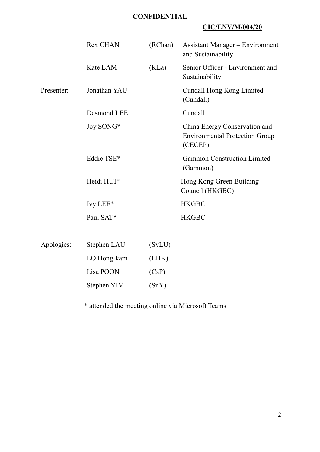# **CIC/ENV/M/004/20**

|            | <b>Rex CHAN</b> | (RChan) | <b>Assistant Manager</b> – Environment<br>and Sustainability                      |
|------------|-----------------|---------|-----------------------------------------------------------------------------------|
|            | Kate LAM        | (KLa)   | Senior Officer - Environment and<br>Sustainability                                |
| Presenter: | Jonathan YAU    |         | Cundall Hong Kong Limited<br>(Cundall)                                            |
|            | Desmond LEE     |         | Cundall                                                                           |
|            | Joy SONG*       |         | China Energy Conservation and<br><b>Environmental Protection Group</b><br>(CECEP) |
|            | Eddie TSE*      |         | <b>Gammon Construction Limited</b><br>(Gammon)                                    |
|            | Heidi HUI*      |         | Hong Kong Green Building<br>Council (HKGBC)                                       |
|            | Ivy LEE*        |         | <b>HKGBC</b>                                                                      |
|            | Paul SAT*       |         | <b>HKGBC</b>                                                                      |
|            |                 |         |                                                                                   |
| Apologies: | Stephen LAU     | (SyLU)  |                                                                                   |
|            | LO Hong-kam     | (LHK)   |                                                                                   |
|            | Lisa POON       | (CsP)   |                                                                                   |
|            | Stephen YIM     | (SnY)   |                                                                                   |
|            |                 |         |                                                                                   |

\* attended the meeting online via Microsoft Teams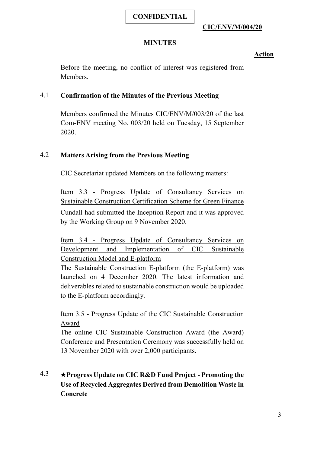# **CIC/ENV/M/004/20**

# **MINUTES**

# **Action**

Before the meeting, no conflict of interest was registered from Members.

#### 4.1 **Confirmation of the Minutes of the Previous Meeting**

Members confirmed the Minutes CIC/ENV/M/003/20 of the last Com-ENV meeting No. 003/20 held on Tuesday, 15 September 2020.

# 4.2 **Matters Arising from the Previous Meeting**

CIC Secretariat updated Members on the following matters:

Item 3.3 - Progress Update of Consultancy Services on Sustainable Construction Certification Scheme for Green Finance Cundall had submitted the Inception Report and it was approved by the Working Group on 9 November 2020.

Item 3.4 - Progress Update of Consultancy Services on Development and Implementation of CIC Sustainable Construction Model and E-platform

The Sustainable Construction E-platform (the E-platform) was launched on 4 December 2020. The latest information and deliverables related to sustainable construction would be uploaded to the E-platform accordingly.

Item 3.5 - Progress Update of the CIC Sustainable Construction Award

The online CIC Sustainable Construction Award (the Award) Conference and Presentation Ceremony was successfully held on 13 November 2020 with over 2,000 participants.

# 4.3 ★**Progress Update on CIC R&D Fund Project - Promoting the Use of Recycled Aggregates Derived from Demolition Waste in Concrete**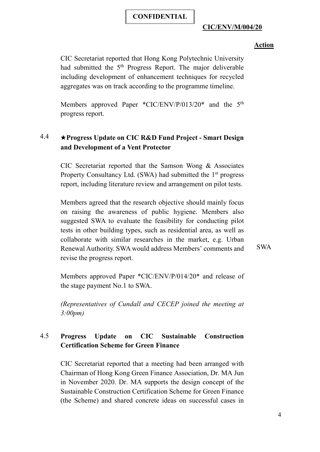#### **Action**

CIC Secretariat reported that Hong Kong Polytechnic University had submitted the 5<sup>th</sup> Progress Report. The major deliverable including development of enhancement techniques for recycled aggregates was on track according to the programme timeline.

Members approved Paper \*CIC/ENV/P/013/20\* and the 5<sup>th</sup> progress report.

# 4.4 ★**Progress Update on CIC R&D Fund Project - Smart Design and Development of a Vent Protector**

CIC Secretariat reported that the Samson Wong & Associates Property Consultancy Ltd. (SWA) had submitted the 1<sup>st</sup> progress report, including literature review and arrangement on pilot tests.

Members agreed that the research objective should mainly focus on raising the awareness of public hygiene. Members also suggested SWA to evaluate the feasibility for conducting pilot tests in other building types, such as residential area, as well as collaborate with similar researches in the market, e.g. Urban Renewal Authority. SWA would address Members' comments and revise the progress report.

SWA

Members approved Paper \*CIC/ENV/P/014/20\* and release of the stage payment No.1 to SWA.

*(Representatives of Cundall and CECEP joined the meeting at 3:00pm)*

# 4.5 **Progress Update on CIC Sustainable Construction Certification Scheme for Green Finance**

CIC Secretariat reported that a meeting had been arranged with Chairman of Hong Kong Green Finance Association, Dr. MA Jun in November 2020. Dr. MA supports the design concept of the Sustainable Construction Certification Scheme for Green Finance (the Scheme) and shared concrete ideas on successful cases in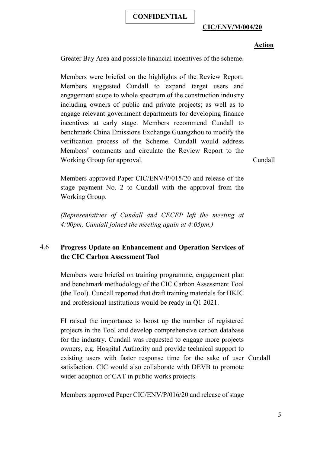#### **Action**

Greater Bay Area and possible financial incentives of the scheme.

Members were briefed on the highlights of the Review Report. Members suggested Cundall to expand target users and engagement scope to whole spectrum of the construction industry including owners of public and private projects; as well as to engage relevant government departments for developing finance incentives at early stage. Members recommend Cundall to benchmark China Emissions Exchange Guangzhou to modify the verification process of the Scheme. Cundall would address Members' comments and circulate the Review Report to the Working Group for approval.

Cundall

Members approved Paper CIC/ENV/P/015/20 and release of the stage payment No. 2 to Cundall with the approval from the Working Group.

*(Representatives of Cundall and CECEP left the meeting at 4:00pm, Cundall joined the meeting again at 4:05pm.)*

# 4.6 **Progress Update on Enhancement and Operation Services of the CIC Carbon Assessment Tool**

Members were briefed on training programme, engagement plan and benchmark methodology of the CIC Carbon Assessment Tool (the Tool). Cundall reported that draft training materials for HKIC and professional institutions would be ready in Q1 2021.

FI raised the importance to boost up the number of registered projects in the Tool and develop comprehensive carbon database for the industry. Cundall was requested to engage more projects owners, e.g. Hospital Authority and provide technical support to existing users with faster response time for the sake of user Cundallsatisfaction. CIC would also collaborate with DEVB to promote wider adoption of CAT in public works projects.

Members approved Paper CIC/ENV/P/016/20 and release of stage